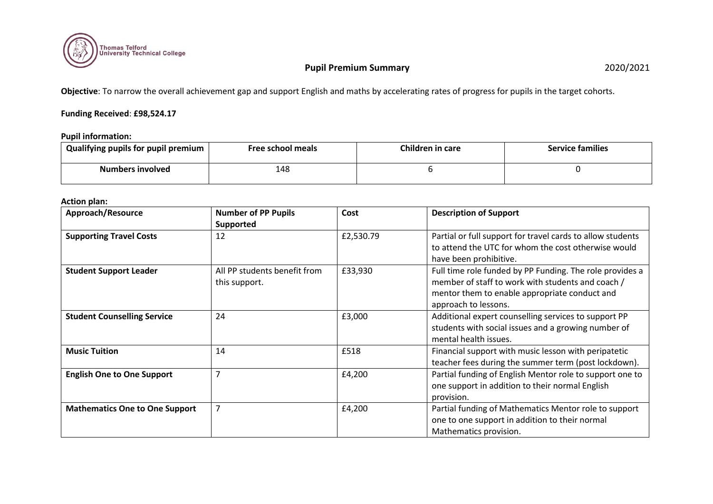

**Objective**: To narrow the overall achievement gap and support English and maths by accelerating rates of progress for pupils in the target cohorts.

## **Funding Received**: **£98,524.17**

#### **Pupil information:**

| Qualifying pupils for pupil premium | Free school meals | Children in care | <b>Service families</b> |  |  |  |
|-------------------------------------|-------------------|------------------|-------------------------|--|--|--|
| Numbers involved                    | 148               |                  |                         |  |  |  |

## **Action plan:**

| Approach/Resource                     | <b>Number of PP Pupils</b><br>Supported       | Cost      | <b>Description of Support</b>                                                                                                                                                          |
|---------------------------------------|-----------------------------------------------|-----------|----------------------------------------------------------------------------------------------------------------------------------------------------------------------------------------|
| <b>Supporting Travel Costs</b>        | 12                                            | £2,530.79 | Partial or full support for travel cards to allow students<br>to attend the UTC for whom the cost otherwise would<br>have been prohibitive.                                            |
| <b>Student Support Leader</b>         | All PP students benefit from<br>this support. | £33,930   | Full time role funded by PP Funding. The role provides a<br>member of staff to work with students and coach /<br>mentor them to enable appropriate conduct and<br>approach to lessons. |
| <b>Student Counselling Service</b>    | 24                                            | £3,000    | Additional expert counselling services to support PP<br>students with social issues and a growing number of<br>mental health issues.                                                   |
| <b>Music Tuition</b>                  | 14                                            | £518      | Financial support with music lesson with peripatetic<br>teacher fees during the summer term (post lockdown).                                                                           |
| <b>English One to One Support</b>     | $\overline{7}$                                | £4,200    | Partial funding of English Mentor role to support one to<br>one support in addition to their normal English<br>provision.                                                              |
| <b>Mathematics One to One Support</b> | 7                                             | £4,200    | Partial funding of Mathematics Mentor role to support<br>one to one support in addition to their normal<br>Mathematics provision.                                                      |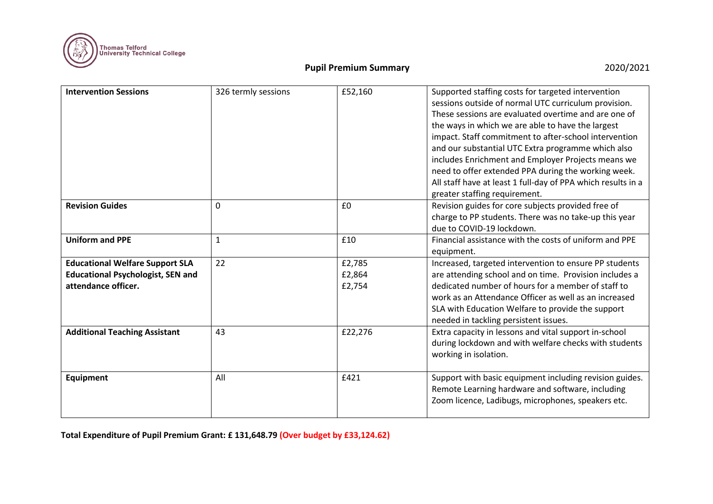

| <b>Intervention Sessions</b>                                                                              | 326 termly sessions | £52,160                    | Supported staffing costs for targeted intervention<br>sessions outside of normal UTC curriculum provision.<br>These sessions are evaluated overtime and are one of<br>the ways in which we are able to have the largest<br>impact. Staff commitment to after-school intervention<br>and our substantial UTC Extra programme which also<br>includes Enrichment and Employer Projects means we<br>need to offer extended PPA during the working week.<br>All staff have at least 1 full-day of PPA which results in a<br>greater staffing requirement. |
|-----------------------------------------------------------------------------------------------------------|---------------------|----------------------------|------------------------------------------------------------------------------------------------------------------------------------------------------------------------------------------------------------------------------------------------------------------------------------------------------------------------------------------------------------------------------------------------------------------------------------------------------------------------------------------------------------------------------------------------------|
| <b>Revision Guides</b>                                                                                    | 0                   | £0                         | Revision guides for core subjects provided free of<br>charge to PP students. There was no take-up this year<br>due to COVID-19 lockdown.                                                                                                                                                                                                                                                                                                                                                                                                             |
| <b>Uniform and PPE</b>                                                                                    | $\mathbf{1}$        | £10                        | Financial assistance with the costs of uniform and PPE<br>equipment.                                                                                                                                                                                                                                                                                                                                                                                                                                                                                 |
| <b>Educational Welfare Support SLA</b><br><b>Educational Psychologist, SEN and</b><br>attendance officer. | 22                  | £2,785<br>£2,864<br>£2,754 | Increased, targeted intervention to ensure PP students<br>are attending school and on time. Provision includes a<br>dedicated number of hours for a member of staff to<br>work as an Attendance Officer as well as an increased<br>SLA with Education Welfare to provide the support<br>needed in tackling persistent issues.                                                                                                                                                                                                                        |
| <b>Additional Teaching Assistant</b>                                                                      | 43                  | £22,276                    | Extra capacity in lessons and vital support in-school<br>during lockdown and with welfare checks with students<br>working in isolation.                                                                                                                                                                                                                                                                                                                                                                                                              |
| <b>Equipment</b>                                                                                          | All                 | £421                       | Support with basic equipment including revision guides.<br>Remote Learning hardware and software, including<br>Zoom licence, Ladibugs, microphones, speakers etc.                                                                                                                                                                                                                                                                                                                                                                                    |

**Total Expenditure of Pupil Premium Grant: £ 131,648.79 (Over budget by £33,124.62)**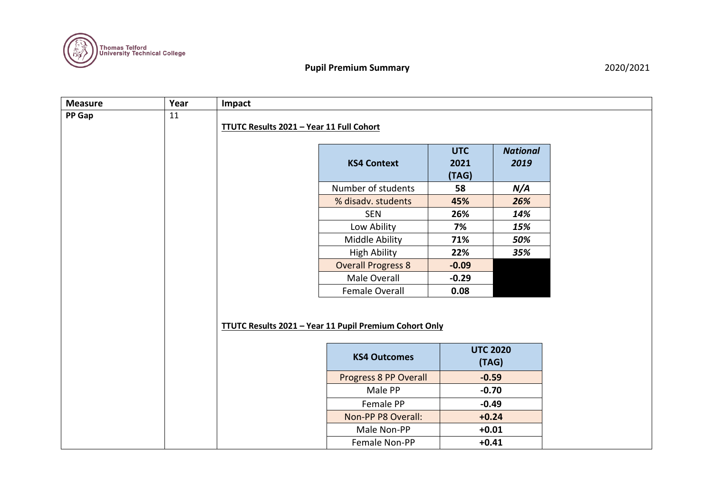

| <b>Measure</b> | Year | Impact                                          |                                                               |                             |                         |  |  |  |
|----------------|------|-------------------------------------------------|---------------------------------------------------------------|-----------------------------|-------------------------|--|--|--|
| PP Gap         | 11   | <b>TTUTC Results 2021 - Year 11 Full Cohort</b> |                                                               |                             |                         |  |  |  |
|                |      |                                                 | <b>KS4 Context</b>                                            | <b>UTC</b><br>2021<br>(TAG) | <b>National</b><br>2019 |  |  |  |
|                |      |                                                 | Number of students                                            | 58                          | N/A                     |  |  |  |
|                |      |                                                 | % disadv. students                                            | 45%                         | 26%                     |  |  |  |
|                |      |                                                 | <b>SEN</b>                                                    | 26%                         | 14%                     |  |  |  |
|                |      |                                                 | Low Ability                                                   | 7%                          | 15%                     |  |  |  |
|                |      |                                                 | Middle Ability                                                | 71%                         | 50%                     |  |  |  |
|                |      |                                                 | <b>High Ability</b>                                           | 22%                         | 35%                     |  |  |  |
|                |      |                                                 | <b>Overall Progress 8</b>                                     | $-0.09$                     |                         |  |  |  |
|                |      |                                                 | Male Overall                                                  | $-0.29$                     |                         |  |  |  |
|                |      |                                                 | Female Overall                                                | 0.08                        |                         |  |  |  |
|                |      |                                                 | <b>TTUTC Results 2021 - Year 11 Pupil Premium Cohort Only</b> |                             |                         |  |  |  |
|                |      |                                                 | <b>KS4 Outcomes</b>                                           | <b>UTC 2020</b><br>(TAG)    |                         |  |  |  |
|                |      |                                                 | Progress 8 PP Overall                                         | $-0.59$                     |                         |  |  |  |
|                |      |                                                 | Male PP                                                       | $-0.70$                     |                         |  |  |  |
|                |      |                                                 | Female PP                                                     | $-0.49$                     |                         |  |  |  |
|                |      |                                                 | Non-PP P8 Overall:                                            | $+0.24$                     |                         |  |  |  |
|                |      |                                                 | Male Non-PP                                                   | $+0.01$                     |                         |  |  |  |
|                |      |                                                 | Female Non-PP                                                 | $+0.41$                     |                         |  |  |  |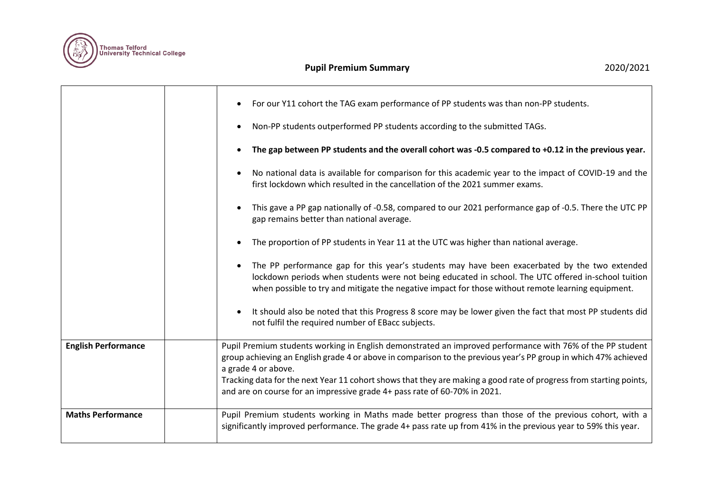

|                            | For our Y11 cohort the TAG exam performance of PP students was than non-PP students.<br>Non-PP students outperformed PP students according to the submitted TAGs.<br>٠<br>The gap between PP students and the overall cohort was -0.5 compared to +0.12 in the previous year.<br>No national data is available for comparison for this academic year to the impact of COVID-19 and the                                                                                      |
|----------------------------|-----------------------------------------------------------------------------------------------------------------------------------------------------------------------------------------------------------------------------------------------------------------------------------------------------------------------------------------------------------------------------------------------------------------------------------------------------------------------------|
|                            | first lockdown which resulted in the cancellation of the 2021 summer exams.<br>This gave a PP gap nationally of -0.58, compared to our 2021 performance gap of -0.5. There the UTC PP<br>$\bullet$<br>gap remains better than national average.<br>The proportion of PP students in Year 11 at the UTC was higher than national average.                                                                                                                                    |
|                            | The PP performance gap for this year's students may have been exacerbated by the two extended<br>lockdown periods when students were not being educated in school. The UTC offered in-school tuition<br>when possible to try and mitigate the negative impact for those without remote learning equipment.<br>It should also be noted that this Progress 8 score may be lower given the fact that most PP students did<br>not fulfil the required number of EBacc subjects. |
| <b>English Performance</b> | Pupil Premium students working in English demonstrated an improved performance with 76% of the PP student<br>group achieving an English grade 4 or above in comparison to the previous year's PP group in which 47% achieved<br>a grade 4 or above.<br>Tracking data for the next Year 11 cohort shows that they are making a good rate of progress from starting points,<br>and are on course for an impressive grade 4+ pass rate of 60-70% in 2021.                      |
| <b>Maths Performance</b>   | Pupil Premium students working in Maths made better progress than those of the previous cohort, with a<br>significantly improved performance. The grade 4+ pass rate up from 41% in the previous year to 59% this year.                                                                                                                                                                                                                                                     |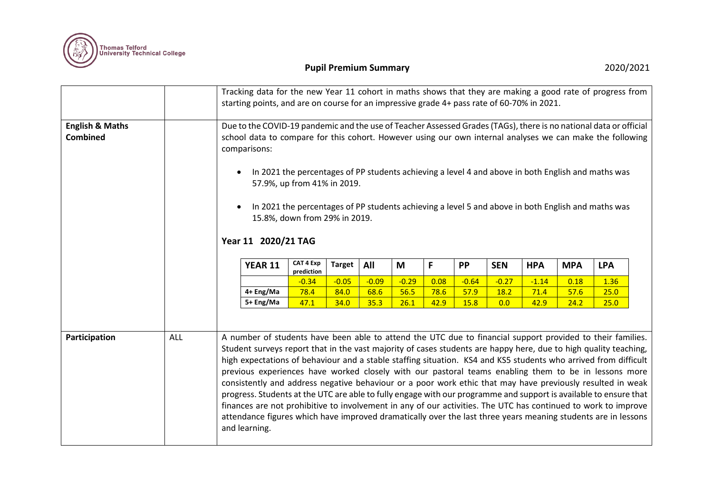

|                                               |     | Tracking data for the new Year 11 cohort in maths shows that they are making a good rate of progress from<br>starting points, and are on course for an impressive grade 4+ pass rate of 60-70% in 2021.                                                                                                                                                                                                                                                                                                                                                                                                                                                                                                        |                         |               |              |              |              |              |                    |              |              |              |  |
|-----------------------------------------------|-----|----------------------------------------------------------------------------------------------------------------------------------------------------------------------------------------------------------------------------------------------------------------------------------------------------------------------------------------------------------------------------------------------------------------------------------------------------------------------------------------------------------------------------------------------------------------------------------------------------------------------------------------------------------------------------------------------------------------|-------------------------|---------------|--------------|--------------|--------------|--------------|--------------------|--------------|--------------|--------------|--|
| <b>English &amp; Maths</b><br><b>Combined</b> |     | Due to the COVID-19 pandemic and the use of Teacher Assessed Grades (TAGs), there is no national data or official<br>school data to compare for this cohort. However using our own internal analyses we can make the following<br>comparisons:<br>In 2021 the percentages of PP students achieving a level 4 and above in both English and maths was<br>$\bullet$<br>57.9%, up from 41% in 2019.<br>In 2021 the percentages of PP students achieving a level 5 and above in both English and maths was<br>$\bullet$<br>15.8%, down from 29% in 2019.<br>Year 11 2020/21 TAG                                                                                                                                    |                         |               |              |              |              |              |                    |              |              |              |  |
|                                               |     | <b>YEAR 11</b>                                                                                                                                                                                                                                                                                                                                                                                                                                                                                                                                                                                                                                                                                                 | CAT 4 Exp<br>prediction | <b>Target</b> | All          | M            | F            | PP           | <b>SEN</b>         | <b>HPA</b>   | <b>MPA</b>   | <b>LPA</b>   |  |
|                                               |     |                                                                                                                                                                                                                                                                                                                                                                                                                                                                                                                                                                                                                                                                                                                | $-0.34$                 | $-0.05$       | $-0.09$      | $-0.29$      | 0.08         | $-0.64$      | $-0.27$            | $-1.14$      | 0.18         | 1.36         |  |
|                                               |     | 4+ Eng/Ma<br>5+ Eng/Ma                                                                                                                                                                                                                                                                                                                                                                                                                                                                                                                                                                                                                                                                                         | 78.4<br>47.1            | 84.0<br>34.0  | 68.6<br>35.3 | 56.5<br>26.1 | 78.6<br>42.9 | 57.9<br>15.8 | <b>18.2</b><br>0.0 | 71.4<br>42.9 | 57.6<br>24.2 | 25.0<br>25.0 |  |
| Participation                                 | ALL | A number of students have been able to attend the UTC due to financial support provided to their families.<br>Student surveys report that in the vast majority of cases students are happy here, due to high quality teaching,                                                                                                                                                                                                                                                                                                                                                                                                                                                                                 |                         |               |              |              |              |              |                    |              |              |              |  |
|                                               |     | high expectations of behaviour and a stable staffing situation. KS4 and KS5 students who arrived from difficult<br>previous experiences have worked closely with our pastoral teams enabling them to be in lessons more<br>consistently and address negative behaviour or a poor work ethic that may have previously resulted in weak<br>progress. Students at the UTC are able to fully engage with our programme and support is available to ensure that<br>finances are not prohibitive to involvement in any of our activities. The UTC has continued to work to improve<br>attendance figures which have improved dramatically over the last three years meaning students are in lessons<br>and learning. |                         |               |              |              |              |              |                    |              |              |              |  |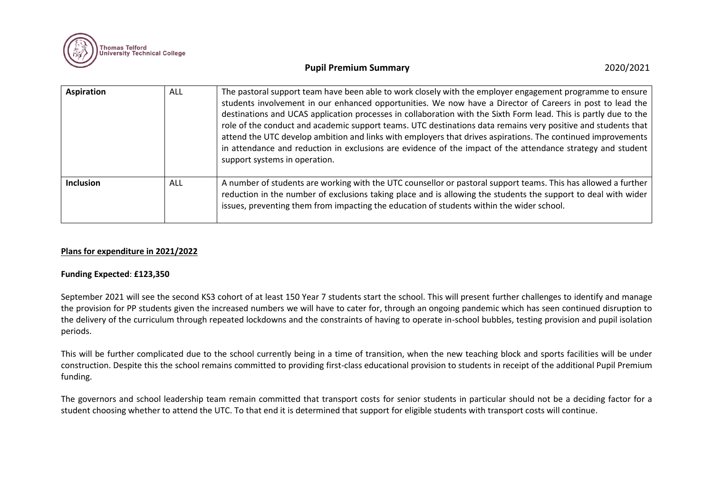

| <b>Aspiration</b> | ALL | The pastoral support team have been able to work closely with the employer engagement programme to ensure<br>students involvement in our enhanced opportunities. We now have a Director of Careers in post to lead the<br>destinations and UCAS application processes in collaboration with the Sixth Form lead. This is partly due to the<br>role of the conduct and academic support teams. UTC destinations data remains very positive and students that<br>attend the UTC develop ambition and links with employers that drives aspirations. The continued improvements<br>in attendance and reduction in exclusions are evidence of the impact of the attendance strategy and student<br>support systems in operation. |
|-------------------|-----|-----------------------------------------------------------------------------------------------------------------------------------------------------------------------------------------------------------------------------------------------------------------------------------------------------------------------------------------------------------------------------------------------------------------------------------------------------------------------------------------------------------------------------------------------------------------------------------------------------------------------------------------------------------------------------------------------------------------------------|
| <b>Inclusion</b>  | ALL | A number of students are working with the UTC counsellor or pastoral support teams. This has allowed a further<br>reduction in the number of exclusions taking place and is allowing the students the support to deal with wider<br>issues, preventing them from impacting the education of students within the wider school.                                                                                                                                                                                                                                                                                                                                                                                               |

#### **Plans for expenditure in 2021/2022**

#### **Funding Expected**: **£123,350**

September 2021 will see the second KS3 cohort of at least 150 Year 7 students start the school. This will present further challenges to identify and manage the provision for PP students given the increased numbers we will have to cater for, through an ongoing pandemic which has seen continued disruption to the delivery of the curriculum through repeated lockdowns and the constraints of having to operate in-school bubbles, testing provision and pupil isolation periods.

This will be further complicated due to the school currently being in a time of transition, when the new teaching block and sports facilities will be under construction. Despite this the school remains committed to providing first-class educational provision to students in receipt of the additional Pupil Premium funding.

The governors and school leadership team remain committed that transport costs for senior students in particular should not be a deciding factor for a student choosing whether to attend the UTC. To that end it is determined that support for eligible students with transport costs will continue.